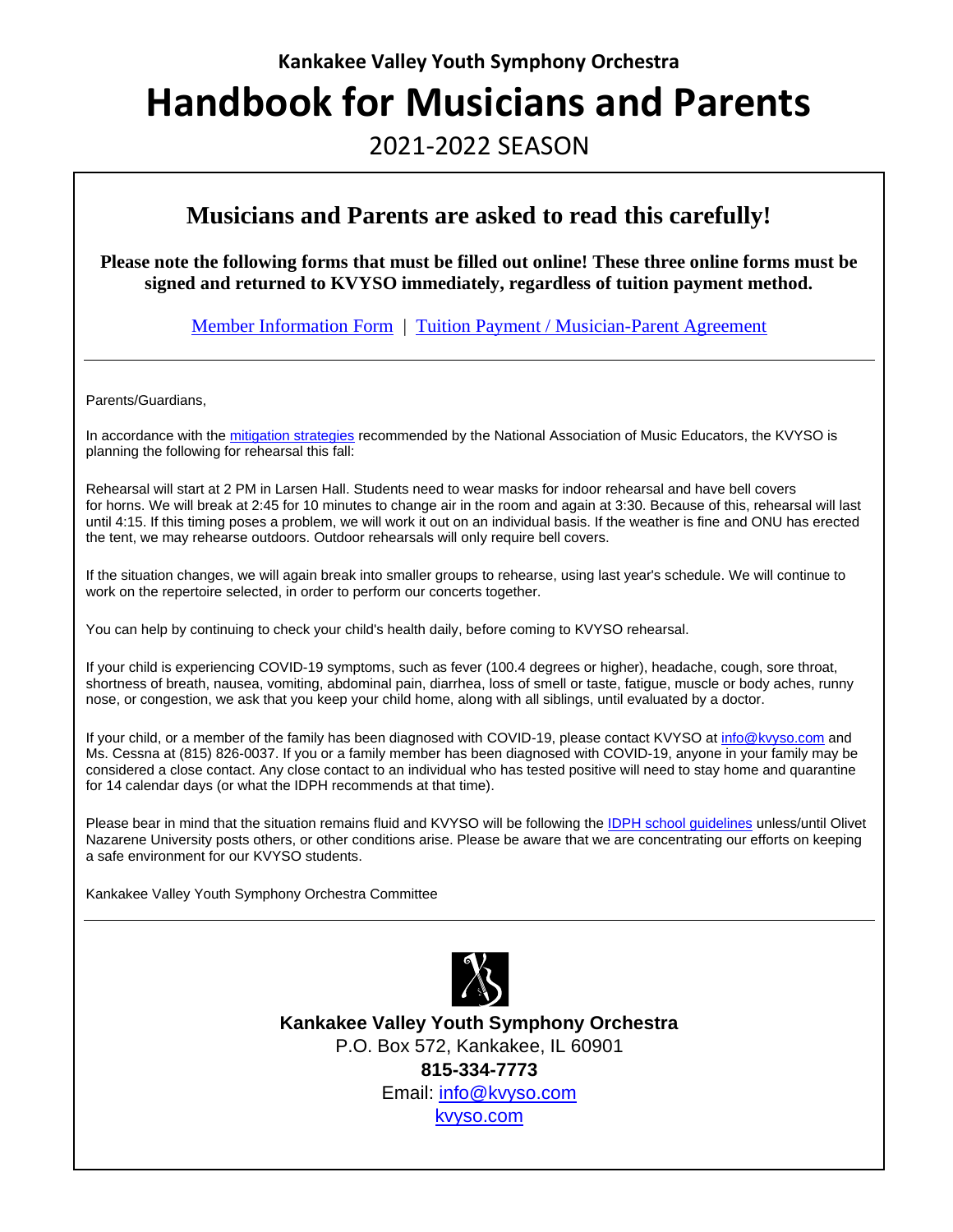#### **Kankakee Valley Youth Symphony Orchestra**

# **Handbook for Musicians and Parents**

# 2021-2022 SEASON

### **Musicians and Parents are asked to read this carefully!**

**Please note the following forms that must be filled out online! These three online forms must be signed and returned to KVYSO immediately, regardless of tuition payment method.** 

[Member Information Form](https://kvyso.com/member-information-form/) | [Tuition Payment / Musician-Parent Agreement](https://kvyso.com/tuition-payment-musician-parent-agreement#top)

Parents/Guardians,

In accordance with th[e mitigation strategies](https://www.nfhs.org/media/4716952/international-coalition-performing-arts-aerosol-study-july-2021-update-final.pdf) recommended by the National Association of Music Educators, the KVYSO is planning the following for rehearsal this fall:

Rehearsal will start at 2 PM in Larsen Hall. Students need to wear masks for indoor rehearsal and have bell covers for horns. We will break at 2:45 for 10 minutes to change air in the room and again at 3:30. Because of this, rehearsal will last until 4:15. If this timing poses a problem, we will work it out on an individual basis. If the weather is fine and ONU has erected the tent, we may rehearse outdoors. Outdoor rehearsals will only require bell covers.

If the situation changes, we will again break into smaller groups to rehearse, using last year's schedule. We will continue to work on the repertoire selected, in order to perform our concerts together.

You can help by continuing to check your child's health daily, before coming to KVYSO rehearsal.

If your child is experiencing COVID-19 symptoms, such as fever (100.4 degrees or higher), headache, cough, sore throat, shortness of breath, nausea, vomiting, abdominal pain, diarrhea, loss of smell or taste, fatigue, muscle or body aches, runny nose, or congestion, we ask that you keep your child home, along with all siblings, until evaluated by a doctor.

If your child, or a member of the family has been diagnosed with COVID-19, please contact KVYSO at [info@kvyso.com](mailto:info@kvyso.com) and Ms. Cessna at (815) 826-0037. If you or a family member has been diagnosed with COVID-19, anyone in your family may be considered a close contact. Any close contact to an individual who has tested positive will need to stay home and quarantine for 14 calendar days (or what the IDPH recommends at that time).

Please bear in mind that the situation remains fluid and KVYSO will be following th[e IDPH school](https://www.isbe.net/Documents/IDPH-School-FAQs.pdf) guidelines unless/until Olivet Nazarene University posts others, or other conditions arise. Please be aware that we are concentrating our efforts on keeping a safe environment for our KVYSO students.

Kankakee Valley Youth Symphony Orchestra Committee



**Kankakee Valley Youth Symphony Orchestra** P.O. Box 572, Kankakee, IL 60901 **815-334-7773** Email: [info@kvyso.com](mailto:info@kvyso.com) [kvyso.com](https://kvyso.com/)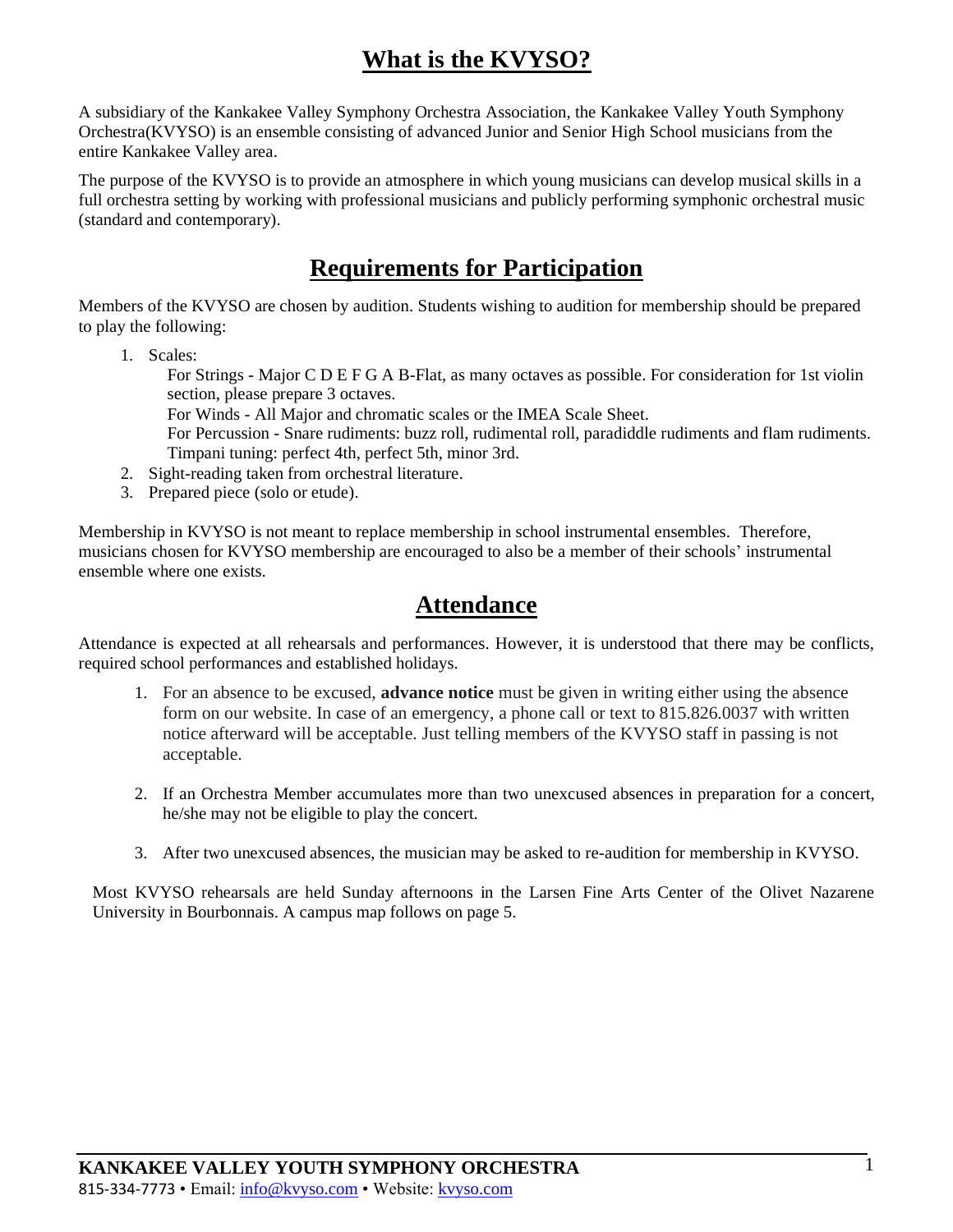# **What is the KVYSO?**

A subsidiary of the Kankakee Valley Symphony Orchestra Association, the Kankakee Valley Youth Symphony Orchestra(KVYSO) is an ensemble consisting of advanced Junior and Senior High School musicians from the entire Kankakee Valley area.

The purpose of the KVYSO is to provide an atmosphere in which young musicians can develop musical skills in a full orchestra setting by working with professional musicians and publicly performing symphonic orchestral music (standard and contemporary).

# **Requirements for Participation**

Members of the KVYSO are chosen by audition. Students wishing to audition for membership should be prepared to play the following:

- 1. Scales:
	- For Strings Major C D E F G A B-Flat, as many octaves as possible. For consideration for 1st violin section, please prepare 3 octaves.

For Winds - All Major and chromatic scales or the IMEA Scale Sheet.

For Percussion - Snare rudiments: buzz roll, rudimental roll, paradiddle rudiments and flam rudiments. Timpani tuning: perfect 4th, perfect 5th, minor 3rd.

- 2. Sight-reading taken from orchestral literature.
- 3. Prepared piece (solo or etude).

Membership in KVYSO is not meant to replace membership in school instrumental ensembles. Therefore, musicians chosen for KVYSO membership are encouraged to also be a member of their schools' instrumental ensemble where one exists.

### **Attendance**

Attendance is expected at all rehearsals and performances. However, it is understood that there may be conflicts, required school performances and established holidays.

- 1. For an absence to be excused, **advance notice** must be given in writing either using the absence form on our website. In case of an emergency, a phone call or text to 815.826.0037 with written notice afterward will be acceptable. Just telling members of the KVYSO staff in passing is not acceptable.
- 2. If an Orchestra Member accumulates more than two unexcused absences in preparation for a concert, he/she may not be eligible to play the concert.
- 3. After two unexcused absences, the musician may be asked to re-audition for membership in KVYSO.

Most KVYSO rehearsals are held Sunday afternoons in the Larsen Fine Arts Center of the Olivet Nazarene University in Bourbonnais. A campus map follows on page 5.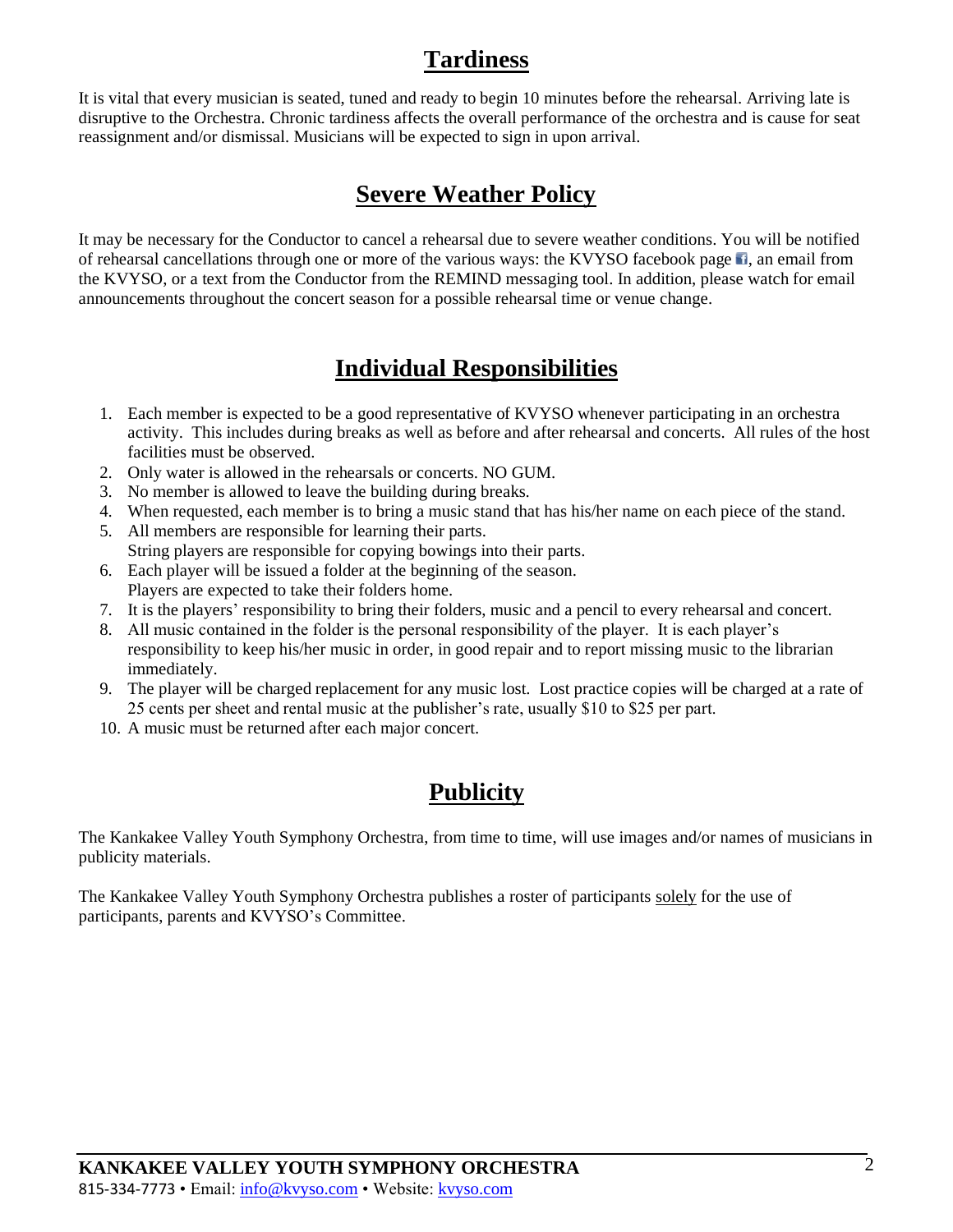### **Tardiness**

It is vital that every musician is seated, tuned and ready to begin 10 minutes before the rehearsal. Arriving late is disruptive to the Orchestra. Chronic tardiness affects the overall performance of the orchestra and is cause for seat reassignment and/or dismissal. Musicians will be expected to sign in upon arrival.

## **Severe Weather Policy**

It may be necessary for the Conductor to cancel a rehearsal due to severe weather conditions. You will be notified of rehearsal cancellations through one or more of the various ways: the KVYSO facebook page **1**[,](https://www.facebook.com/KVYSO/) an email from the KVYSO, or a text from the Conductor from the REMIND messaging tool. In addition, please watch for email announcements throughout the concert season for a possible rehearsal time or venue change.

### **Individual Responsibilities**

- 1. Each member is expected to be a good representative of KVYSO whenever participating in an orchestra activity. This includes during breaks as well as before and after rehearsal and concerts. All rules of the host facilities must be observed.
- 2. Only water is allowed in the rehearsals or concerts. NO GUM.
- 3. No member is allowed to leave the building during breaks.
- 4. When requested, each member is to bring a music stand that has his/her name on each piece of the stand.
- 5. All members are responsible for learning their parts. String players are responsible for copying bowings into their parts.
- 6. Each player will be issued a folder at the beginning of the season. Players are expected to take their folders home.
- 7. It is the players' responsibility to bring their folders, music and a pencil to every rehearsal and concert.
- 8. All music contained in the folder is the personal responsibility of the player. It is each player's responsibility to keep his/her music in order, in good repair and to report missing music to the librarian immediately.
- 9. The player will be charged replacement for any music lost. Lost practice copies will be charged at a rate of 25 cents per sheet and rental music at the publisher's rate, usually \$10 to \$25 per part.
- 10. A music must be returned after each major concert.

# **Publicity**

The Kankakee Valley Youth Symphony Orchestra, from time to time, will use images and/or names of musicians in publicity materials.

The Kankakee Valley Youth Symphony Orchestra publishes a roster of participants solely for the use of participants, parents and KVYSO's Committee.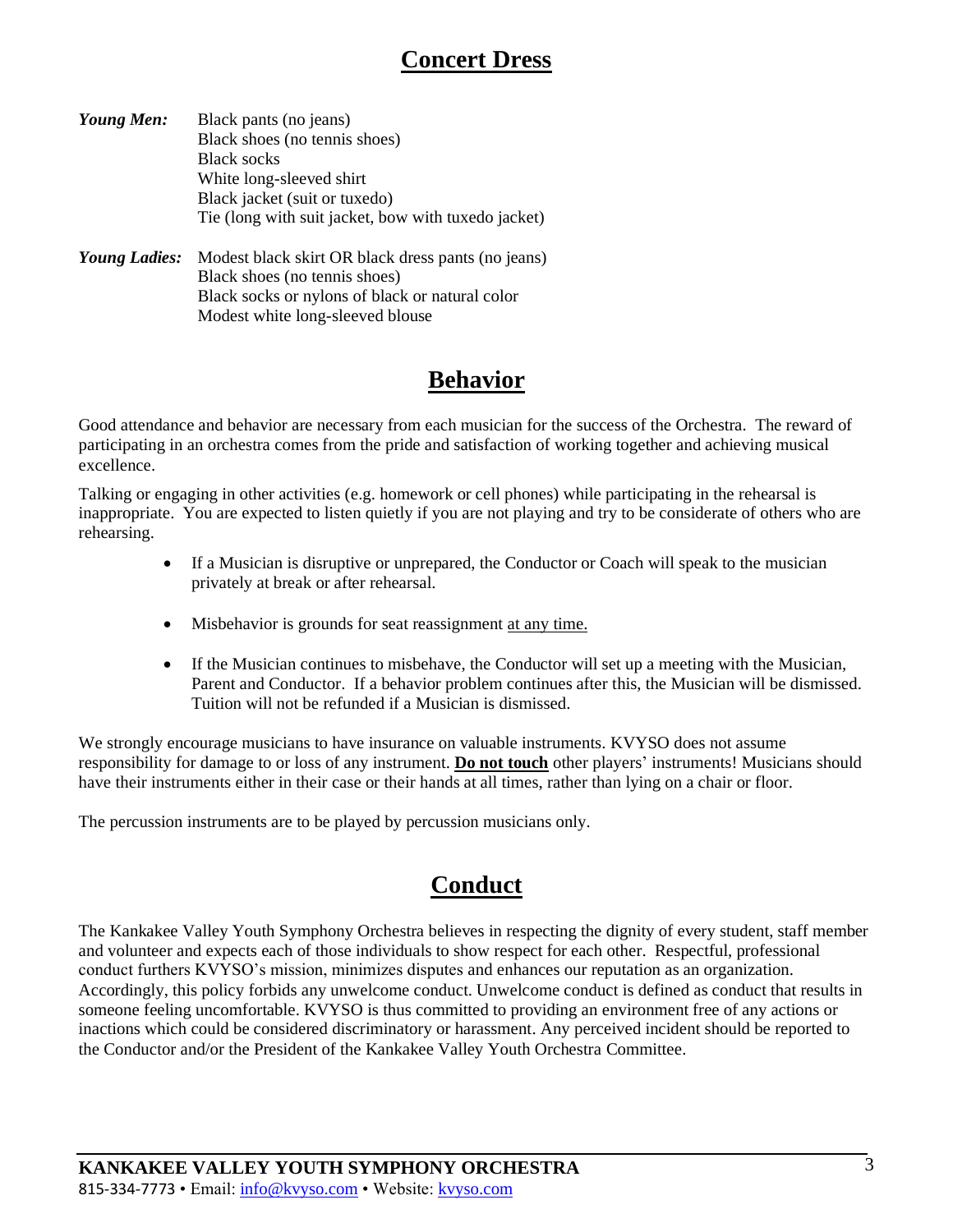### **Concert Dress**

| Young Men:    | Black pants (no jeans)                                                                                                      |
|---------------|-----------------------------------------------------------------------------------------------------------------------------|
|               | Black shoes (no tennis shoes)                                                                                               |
|               | <b>Black socks</b>                                                                                                          |
|               | White long-sleeved shirt                                                                                                    |
|               | Black jacket (suit or tuxedo)                                                                                               |
|               | Tie (long with suit jacket, bow with tuxedo jacket)                                                                         |
| Young Ladies: | Modest black skirt OR black dress pants (no jeans)<br>$\mathbf{D1}_{\mathbf{z}}$ also have the term is also as $\mathbf{y}$ |

| Black shoes (no tennis shoes)                   |
|-------------------------------------------------|
| Black socks or nylons of black or natural color |
| Modest white long-sleeved blouse                |
|                                                 |

# **Behavior**

Good attendance and behavior are necessary from each musician for the success of the Orchestra. The reward of participating in an orchestra comes from the pride and satisfaction of working together and achieving musical excellence.

Talking or engaging in other activities (e.g. homework or cell phones) while participating in the rehearsal is inappropriate. You are expected to listen quietly if you are not playing and try to be considerate of others who are rehearsing.

- If a Musician is disruptive or unprepared, the Conductor or Coach will speak to the musician privately at break or after rehearsal.
- Misbehavior is grounds for seat reassignment at any time.
- If the Musician continues to misbehave, the Conductor will set up a meeting with the Musician, Parent and Conductor. If a behavior problem continues after this, the Musician will be dismissed. Tuition will not be refunded if a Musician is dismissed.

We strongly encourage musicians to have insurance on valuable instruments. KVYSO does not assume responsibility for damage to or loss of any instrument. **Do not touch** other players' instruments! Musicians should have their instruments either in their case or their hands at all times, rather than lying on a chair or floor.

The percussion instruments are to be played by percussion musicians only.

# **Conduct**

The Kankakee Valley Youth Symphony Orchestra believes in respecting the dignity of every student, staff member and volunteer and expects each of those individuals to show respect for each other. Respectful, professional conduct furthers KVYSO's mission, minimizes disputes and enhances our reputation as an organization. Accordingly, this policy forbids any unwelcome conduct. Unwelcome conduct is defined as conduct that results in someone feeling uncomfortable. KVYSO is thus committed to providing an environment free of any actions or inactions which could be considered discriminatory or harassment. Any perceived incident should be reported to the Conductor and/or the President of the Kankakee Valley Youth Orchestra Committee.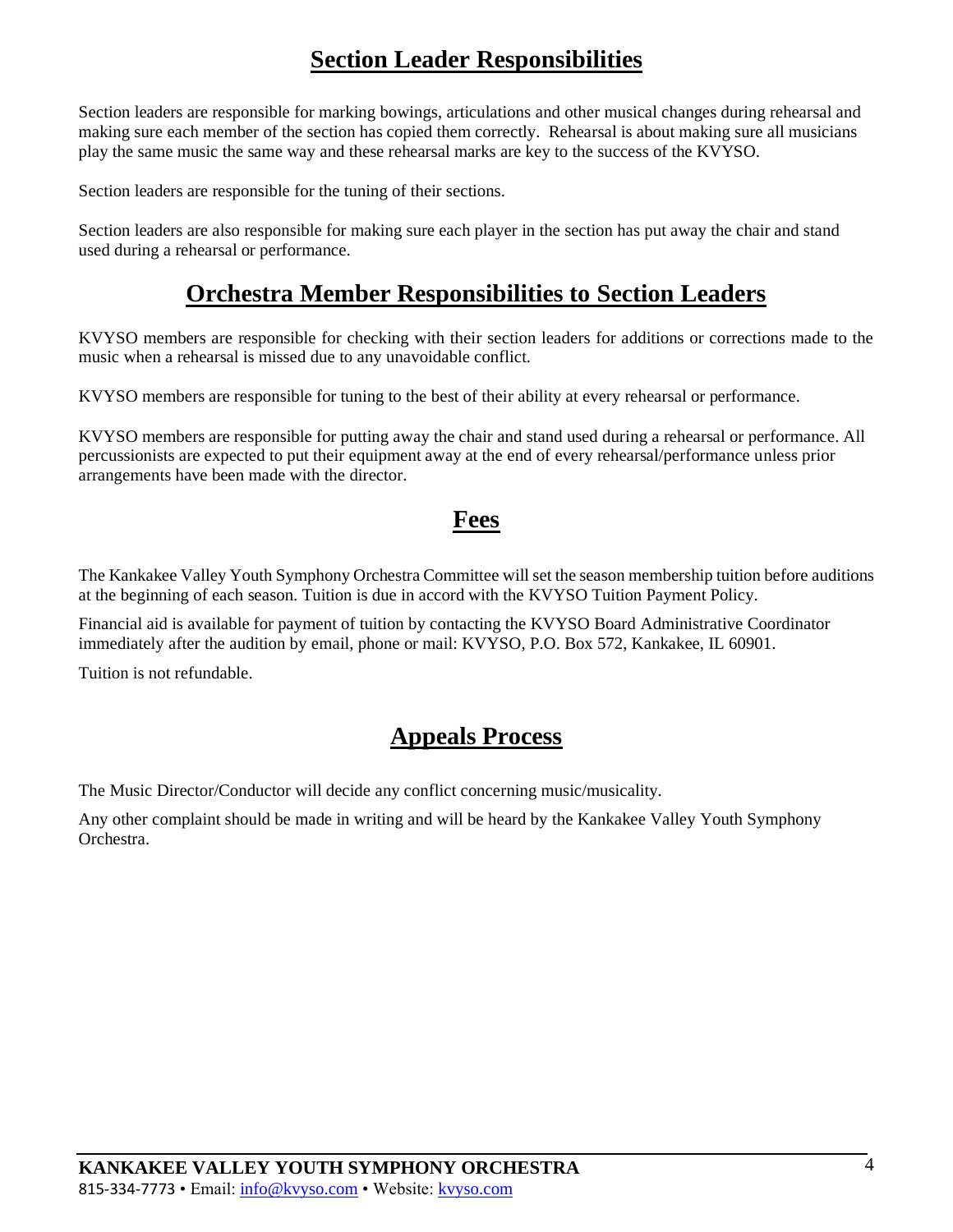### **Section Leader Responsibilities**

Section leaders are responsible for marking bowings, articulations and other musical changes during rehearsal and making sure each member of the section has copied them correctly. Rehearsal is about making sure all musicians play the same music the same way and these rehearsal marks are key to the success of the KVYSO.

Section leaders are responsible for the tuning of their sections.

Section leaders are also responsible for making sure each player in the section has put away the chair and stand used during a rehearsal or performance.

#### **Orchestra Member Responsibilities to Section Leaders**

KVYSO members are responsible for checking with their section leaders for additions or corrections made to the music when a rehearsal is missed due to any unavoidable conflict.

KVYSO members are responsible for tuning to the best of their ability at every rehearsal or performance.

KVYSO members are responsible for putting away the chair and stand used during a rehearsal or performance. All percussionists are expected to put their equipment away at the end of every rehearsal/performance unless prior arrangements have been made with the director.

#### **Fees**

The Kankakee Valley Youth Symphony Orchestra Committee will set the season membership tuition before auditions at the beginning of each season. Tuition is due in accord with the KVYSO Tuition Payment Policy.

Financial aid is available for payment of tuition by contacting the KVYSO Board Administrative Coordinator immediately after the audition by email, phone or mail: KVYSO, P.O. Box 572, Kankakee, IL 60901.

Tuition is not refundable.

#### **Appeals Process**

The Music Director/Conductor will decide any conflict concerning music/musicality.

Any other complaint should be made in writing and will be heard by the Kankakee Valley Youth Symphony Orchestra.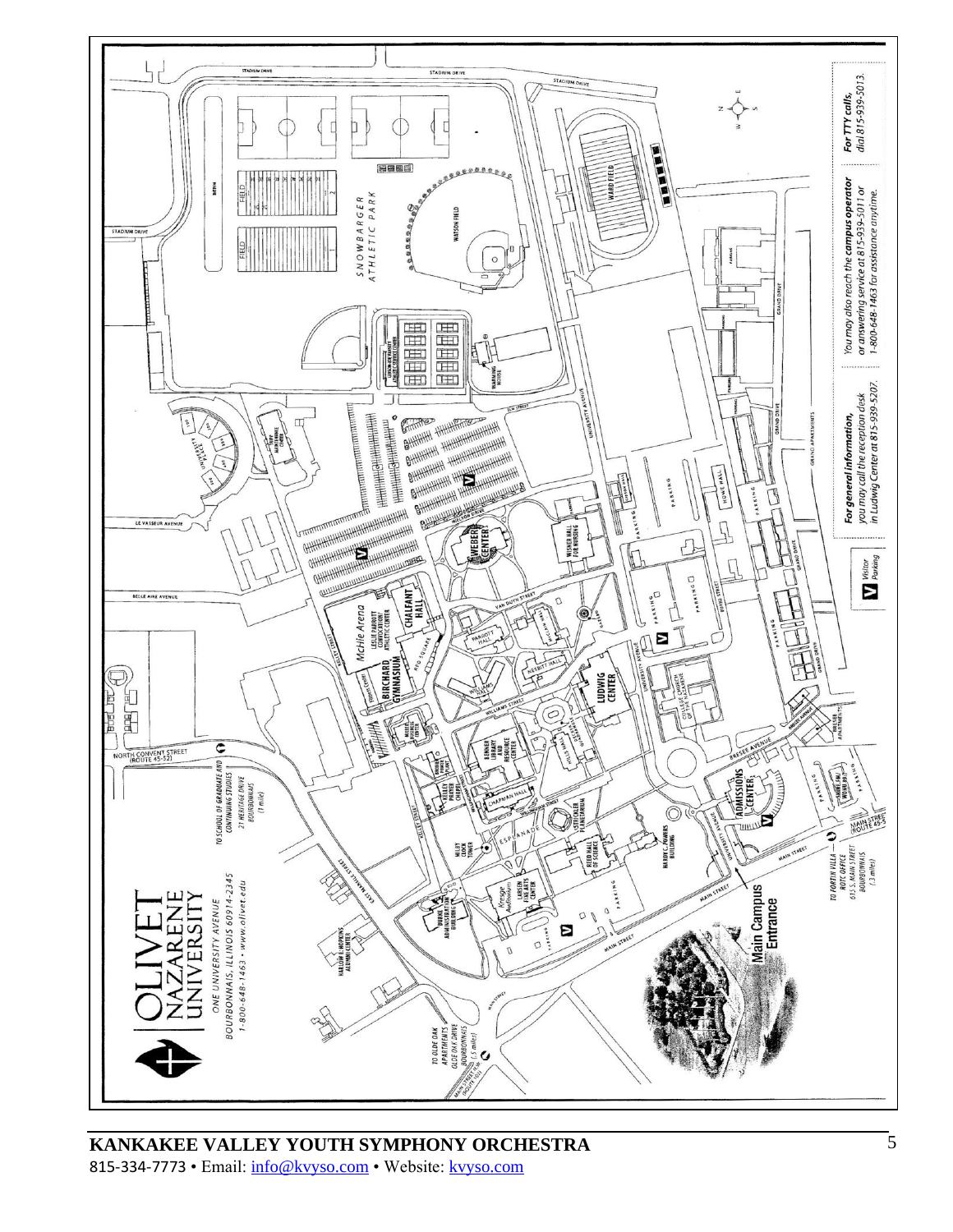